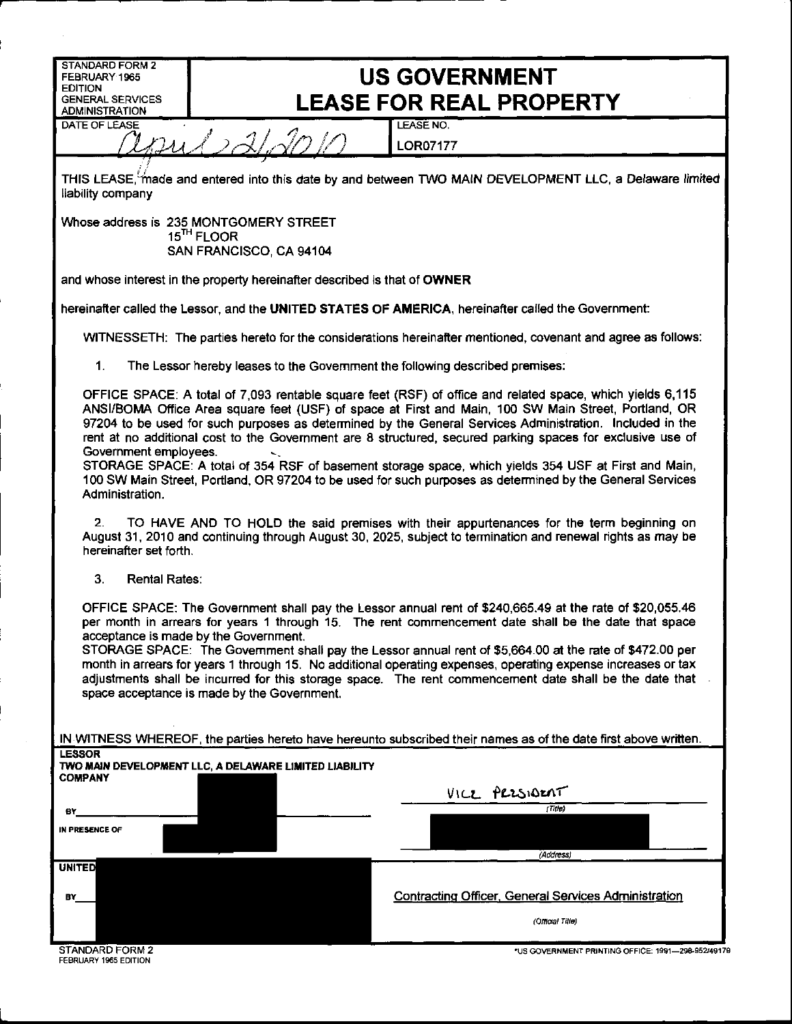| STANDARD FORM 2                                                                                                                                                                                                                                                                                                                                                                                                                                                                                                                                                                                                                                                                                              |                                                                              |                                                                                                             |  |  |
|--------------------------------------------------------------------------------------------------------------------------------------------------------------------------------------------------------------------------------------------------------------------------------------------------------------------------------------------------------------------------------------------------------------------------------------------------------------------------------------------------------------------------------------------------------------------------------------------------------------------------------------------------------------------------------------------------------------|------------------------------------------------------------------------------|-------------------------------------------------------------------------------------------------------------|--|--|
| FEBRUARY 1965<br><b>EDITION</b><br><b>GENERAL SERVICES</b>                                                                                                                                                                                                                                                                                                                                                                                                                                                                                                                                                                                                                                                   | <b>US GOVERNMENT</b><br><b>LEASE FOR REAL PROPERTY</b>                       |                                                                                                             |  |  |
| <b>ADMINISTRATION</b><br>DATE OF LEASE                                                                                                                                                                                                                                                                                                                                                                                                                                                                                                                                                                                                                                                                       | 221201                                                                       | LEASE NO.<br><b>LOR07177</b>                                                                                |  |  |
| THIS LEASE, made and entered into this date by and between TWO MAIN DEVELOPMENT LLC, a Delaware limited<br>liability company                                                                                                                                                                                                                                                                                                                                                                                                                                                                                                                                                                                 |                                                                              |                                                                                                             |  |  |
| Whose address is 235 MONTGOMERY STREET<br>15 <sup>TH</sup> FLOOR                                                                                                                                                                                                                                                                                                                                                                                                                                                                                                                                                                                                                                             |                                                                              |                                                                                                             |  |  |
|                                                                                                                                                                                                                                                                                                                                                                                                                                                                                                                                                                                                                                                                                                              | SAN FRANCISCO, CA 94104                                                      |                                                                                                             |  |  |
|                                                                                                                                                                                                                                                                                                                                                                                                                                                                                                                                                                                                                                                                                                              | and whose interest in the property hereinafter described is that of OWNER    |                                                                                                             |  |  |
|                                                                                                                                                                                                                                                                                                                                                                                                                                                                                                                                                                                                                                                                                                              |                                                                              | hereinafter called the Lessor, and the UNITED STATES OF AMERICA, hereinafter called the Government:         |  |  |
|                                                                                                                                                                                                                                                                                                                                                                                                                                                                                                                                                                                                                                                                                                              |                                                                              | WITNESSETH: The parties hereto for the considerations hereinafter mentioned, covenant and agree as follows: |  |  |
| 1.                                                                                                                                                                                                                                                                                                                                                                                                                                                                                                                                                                                                                                                                                                           | The Lessor hereby leases to the Government the following described premises: |                                                                                                             |  |  |
| OFFICE SPACE: A total of 7,093 rentable square feet (RSF) of office and related space, which yields 6,115<br>ANSI/BOMA Office Area square feet (USF) of space at First and Main, 100 SW Main Street, Portland, OR<br>97204 to be used for such purposes as determined by the General Services Administration. Included in the<br>rent at no additional cost to the Government are 8 structured, secured parking spaces for exclusive use of<br>Government employees.<br>STORAGE SPACE: A total of 354 RSF of basement storage space, which yields 354 USF at First and Main,<br>100 SW Main Street, Portland, OR 97204 to be used for such purposes as determined by the General Services<br>Administration. |                                                                              |                                                                                                             |  |  |
| TO HAVE AND TO HOLD the said premises with their appurtenances for the term beginning on<br>2.<br>August 31, 2010 and continuing through August 30, 2025, subject to termination and renewal rights as may be<br>hereinafter set forth.                                                                                                                                                                                                                                                                                                                                                                                                                                                                      |                                                                              |                                                                                                             |  |  |
| 3.<br><b>Rental Rates:</b>                                                                                                                                                                                                                                                                                                                                                                                                                                                                                                                                                                                                                                                                                   |                                                                              |                                                                                                             |  |  |
| OFFICE SPACE: The Government shall pay the Lessor annual rent of \$240,665.49 at the rate of \$20,055.46<br>per month in arrears for years 1 through 15. The rent commencement date shall be the date that space<br>acceptance is made by the Government.<br>STORAGE SPACE: The Government shall pay the Lessor annual rent of \$5,664.00 at the rate of \$472.00 per<br>month in arrears for years 1 through 15. No additional operating expenses, operating expense increases or tax<br>adjustments shall be incurred for this storage space. The rent commencement date shall be the date that<br>space acceptance is made by the Government.                                                             |                                                                              |                                                                                                             |  |  |
| IN WITNESS WHEREOF, the parties hereto have hereunto subscribed their names as of the date first above written.<br><b>LESSOR</b>                                                                                                                                                                                                                                                                                                                                                                                                                                                                                                                                                                             |                                                                              |                                                                                                             |  |  |
| <b>COMPANY</b>                                                                                                                                                                                                                                                                                                                                                                                                                                                                                                                                                                                                                                                                                               | TWO MAIN DEVELOPMENT LLC, A DELAWARE LIMITED LIABILITY                       |                                                                                                             |  |  |
|                                                                                                                                                                                                                                                                                                                                                                                                                                                                                                                                                                                                                                                                                                              |                                                                              | VICE PRESIDENT<br>(Titre)                                                                                   |  |  |
| e۲<br>IN PRESENCE OF                                                                                                                                                                                                                                                                                                                                                                                                                                                                                                                                                                                                                                                                                         |                                                                              |                                                                                                             |  |  |
|                                                                                                                                                                                                                                                                                                                                                                                                                                                                                                                                                                                                                                                                                                              |                                                                              | (Address)                                                                                                   |  |  |
| <b>UNITED</b><br>B۲                                                                                                                                                                                                                                                                                                                                                                                                                                                                                                                                                                                                                                                                                          |                                                                              | <b>Contracting Officer, General Services Administration</b><br>(Official Title)                             |  |  |
| STANDARD FORM 2                                                                                                                                                                                                                                                                                                                                                                                                                                                                                                                                                                                                                                                                                              |                                                                              | *US COVERNMENT PRINTING OFFICE: 1991-298-952/49179                                                          |  |  |

 $\sim$ 

l.

STANDARY 1965 EDITION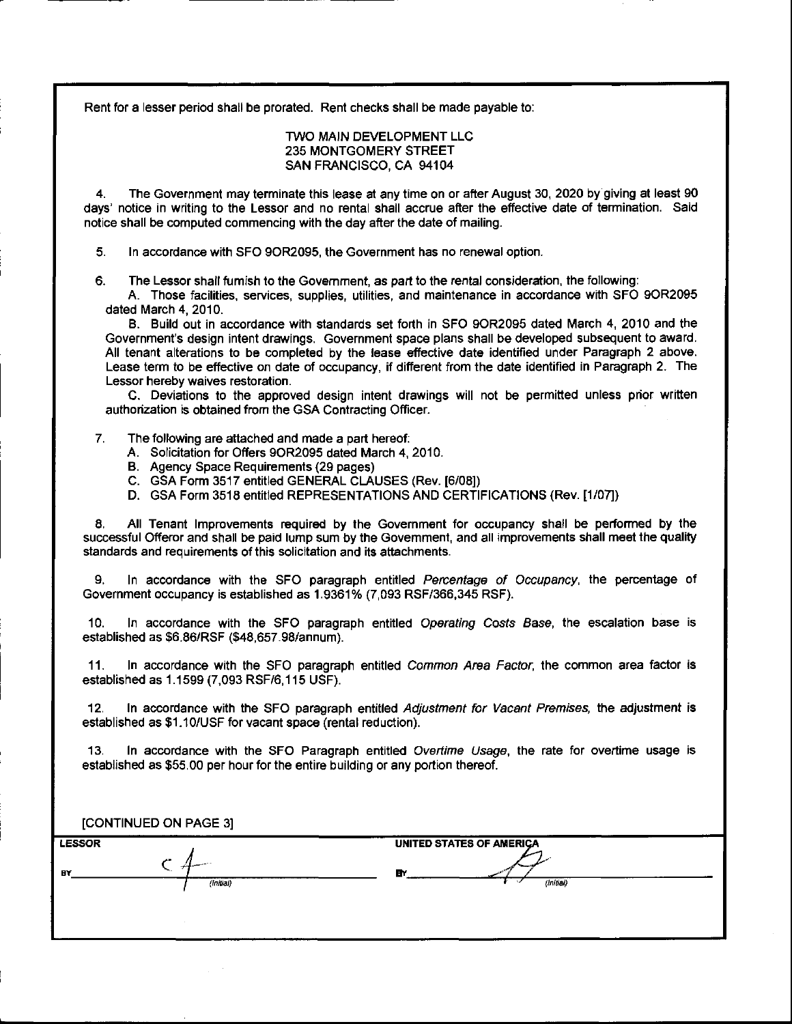Rent for a lesser period shall be prorated. Rent checks shall be made payable to:

## TWO MAIN DEVELOPMENT LLC 235 MONTGOMERY STREET SAN FRANCISCO, CA 94104

4. The Government may terminate this lease at any time on or after August 30, 2020 by giving at least 90 days' notice in writing to the Lessor and no rental shall accrue after the effective date of termination. Said notice shall be computed commencing with the day after the date of mailing.

5. In accordance with SFO 90R2095, the Government has no renewal option.

6. The Lessor shall furnish to the Government, as part to the rental consideration, the following:

A. Those facilities, services, supplies, utilities, and maintenance in accordance with SFO 90R2095 dated March 4, 2010.

8. Build out in accordance with standards set forth in SFO 90R2095 dated March 4, 2010 and the Government's design intent drawings. Government space plans shall be developed subsequent to award. All tenant alterations to be completed by the lease effective date identified under Paragraph 2 above. Lease term to be effective on date of occupancy, if different from the date identified in Paragraph 2. The Lessor hereby waives restoration.

C. Deviations to the approved design intent drawings will not be permitted unless prior written authorization is obtained from the GSA Contracting Officer.

- 7. The following are attached and made a part hereof:
	- A. Solicitation for Offers 90R2095 dated March 4, 2010.
	- B. Agency Space Requirements (29 pages)
	- C. GSA Form 3517 entitled GENERAL CLAUSES (Rev. [6/08])
	- D. GSA Form 3518 entitled REPRESENTATIONS AND CERTIFICATIONS (Rev. [1/07])

8. All Tenant Improvements required by the Government for occupancy shall be performed by the successful Offeror and shall be paid lump sum by the Government, and all improvements shall meet the quality standards and requirements of this solicitation and its attachments.

9. In accordance with the SFO paragraph entitled Percentage of Occupancy, the percentage of Government occupancy is established as 1.9361% (7,093 RSF/366,345 RSF).

10. In accordance with the SFO paragraph entitled Operating Costs Base, the escalation base is established as \$6.86/RSF (\$48,657.98/annum).

11. In accordance with the SFO paragraph entitled Common Area Factor, the common area factor is established as 1.1599 (7,093 RSF/6, 115 USF).

12. In accordance with the SFO paragraph entitled Adjustment for Vacant Premises, the adjustment is established as \$1.10/USF for vacant space (rental reduction).

13. In accordance with the SFO Paragraph entitled Overtime Usage, the rate for overtime usage is established as \$55.00 per hour for the entire building or any portion thereof.

| [CONTINUED ON PAGE 3] |           |                                 |  |  |
|-----------------------|-----------|---------------------------------|--|--|
| <b>LESSOR</b>         |           | <b>UNITED STATES OF AMERICA</b> |  |  |
| B۲                    | (Initial) | <b>E</b> Y<br>(Initial)         |  |  |
|                       |           |                                 |  |  |